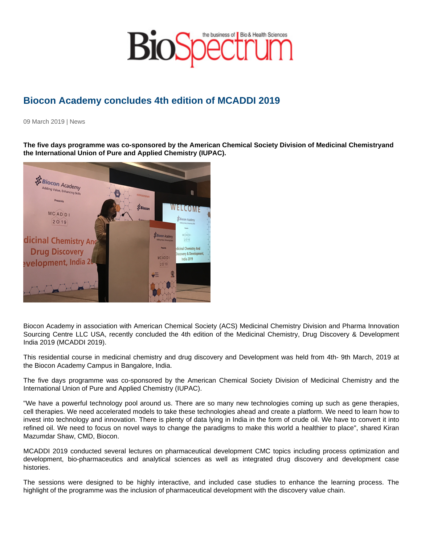## Biocon Academy concludes 4th edition of MCADDI 2019

09 March 2019 | News

The five days programme was co-sponsored by the American Chemical Society Division of Medicinal Chemistry and the International Union of Pure and Applied Chemistry (IUPAC).

Biocon Academy in association with American Chemical Society (ACS) Medicinal Chemistry Division and Pharma Innovation Sourcing Centre LLC USA, recently concluded the 4th edition of the Medicinal Chemistry, Drug Discovery & Development India 2019 (MCADDI 2019).

This residential course in medicinal chemistry and drug discovery and Development was held from 4th- 9th March, 2019 at the Biocon Academy Campus in Bangalore, India.

The five days programme was co-sponsored by the American Chemical Society Division of Medicinal Chemistry and the International Union of Pure and Applied Chemistry (IUPAC).

"We have a powerful technology pool around us. There are so many new technologies coming up such as gene therapies, cell therapies. We need accelerated models to take these technologies ahead and create a platform. We need to learn how to invest into technology and innovation. There is plenty of data lying in India in the form of crude oil. We have to convert it into refined oil. We need to focus on novel ways to change the paradigms to make this world a healthier to place", shared Kiran Mazumdar Shaw, CMD, Biocon.

MCADDI 2019 conducted several lectures on pharmaceutical development CMC topics including process optimization and development, bio-pharmaceutics and analytical sciences as well as integrated drug discovery and development case histories.

The sessions were designed to be highly interactive, and included case studies to enhance the learning process. The highlight of the programme was the inclusion of pharmaceutical development with the discovery value chain.